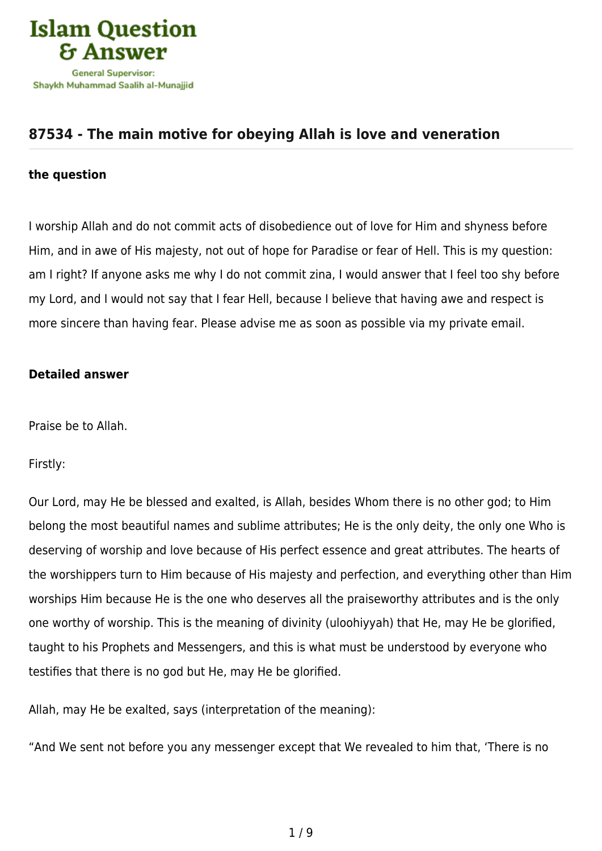

## **[87534 - The main motive for obeying Allah is love and veneration](https://islamqa.com/en/answers/87534/the-main-motive-for-obeying-allah-is-love-and-veneration)**

## **the question**

I worship Allah and do not commit acts of disobedience out of love for Him and shyness before Him, and in awe of His majesty, not out of hope for Paradise or fear of Hell. This is my question: am I right? If anyone asks me why I do not commit zina, I would answer that I feel too shy before my Lord, and I would not say that I fear Hell, because I believe that having awe and respect is more sincere than having fear. Please advise me as soon as possible via my private email.

## **Detailed answer**

Praise be to Allah.

Firstly:

Our Lord, may He be blessed and exalted, is Allah, besides Whom there is no other god; to Him belong the most beautiful names and sublime attributes; He is the only deity, the only one Who is deserving of worship and love because of His perfect essence and great attributes. The hearts of the worshippers turn to Him because of His majesty and perfection, and everything other than Him worships Him because He is the one who deserves all the praiseworthy attributes and is the only one worthy of worship. This is the meaning of divinity (uloohiyyah) that He, may He be glorified, taught to his Prophets and Messengers, and this is what must be understood by everyone who testifies that there is no god but He, may He be glorified.

Allah, may He be exalted, says (interpretation of the meaning):

"And We sent not before you any messenger except that We revealed to him that, 'There is no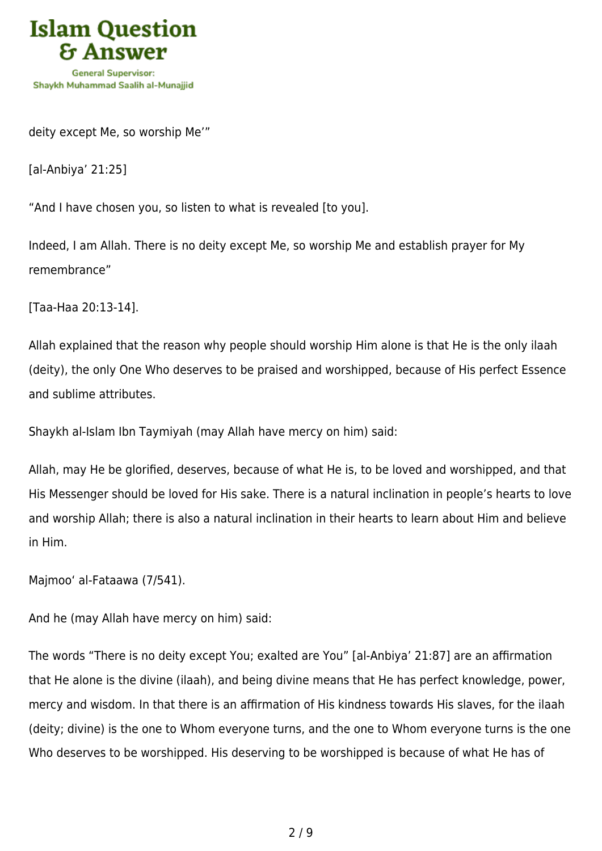

deity except Me, so worship Me'"

[al-Anbiya' 21:25]

"And I have chosen you, so listen to what is revealed [to you].

Indeed, I am Allah. There is no deity except Me, so worship Me and establish prayer for My remembrance"

[Taa-Haa 20:13-14].

Allah explained that the reason why people should worship Him alone is that He is the only ilaah (deity), the only One Who deserves to be praised and worshipped, because of His perfect Essence and sublime attributes.

Shaykh al-Islam Ibn Taymiyah (may Allah have mercy on him) said:

Allah, may He be glorified, deserves, because of what He is, to be loved and worshipped, and that His Messenger should be loved for His sake. There is a natural inclination in people's hearts to love and worship Allah; there is also a natural inclination in their hearts to learn about Him and believe in Him.

Majmoo' al-Fataawa (7/541).

And he (may Allah have mercy on him) said:

The words "There is no deity except You; exalted are You" [al-Anbiya' 21:87] are an affirmation that He alone is the divine (ilaah), and being divine means that He has perfect knowledge, power, mercy and wisdom. In that there is an affirmation of His kindness towards His slaves, for the ilaah (deity; divine) is the one to Whom everyone turns, and the one to Whom everyone turns is the one Who deserves to be worshipped. His deserving to be worshipped is because of what He has of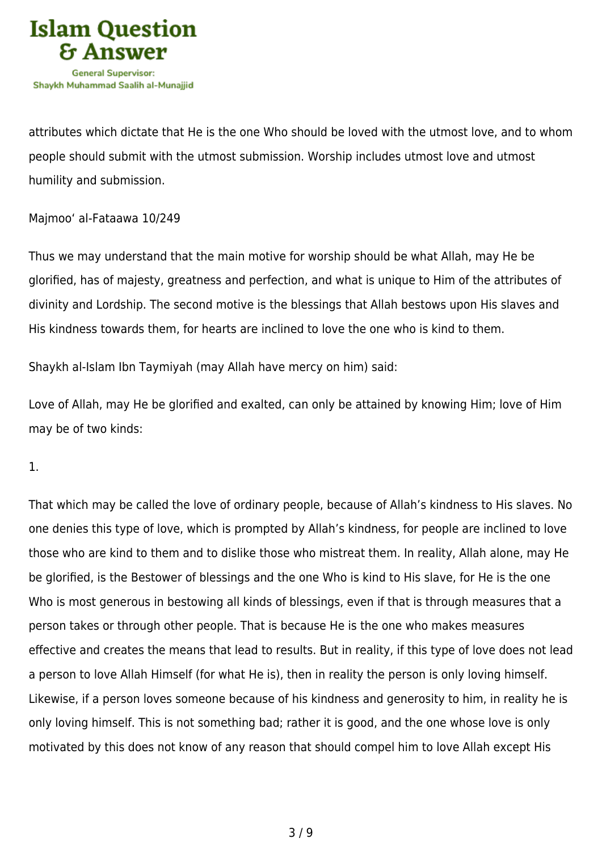

attributes which dictate that He is the one Who should be loved with the utmost love, and to whom people should submit with the utmost submission. Worship includes utmost love and utmost humility and submission.

Majmoo' al-Fataawa 10/249

Thus we may understand that the main motive for worship should be what Allah, may He be glorified, has of majesty, greatness and perfection, and what is unique to Him of the attributes of divinity and Lordship. The second motive is the blessings that Allah bestows upon His slaves and His kindness towards them, for hearts are inclined to love the one who is kind to them.

Shaykh al-Islam Ibn Taymiyah (may Allah have mercy on him) said:

Love of Allah, may He be glorified and exalted, can only be attained by knowing Him; love of Him may be of two kinds:

1.

That which may be called the love of ordinary people, because of Allah's kindness to His slaves. No one denies this type of love, which is prompted by Allah's kindness, for people are inclined to love those who are kind to them and to dislike those who mistreat them. In reality, Allah alone, may He be glorified, is the Bestower of blessings and the one Who is kind to His slave, for He is the one Who is most generous in bestowing all kinds of blessings, even if that is through measures that a person takes or through other people. That is because He is the one who makes measures effective and creates the means that lead to results. But in reality, if this type of love does not lead a person to love Allah Himself (for what He is), then in reality the person is only loving himself. Likewise, if a person loves someone because of his kindness and generosity to him, in reality he is only loving himself. This is not something bad; rather it is good, and the one whose love is only motivated by this does not know of any reason that should compel him to love Allah except His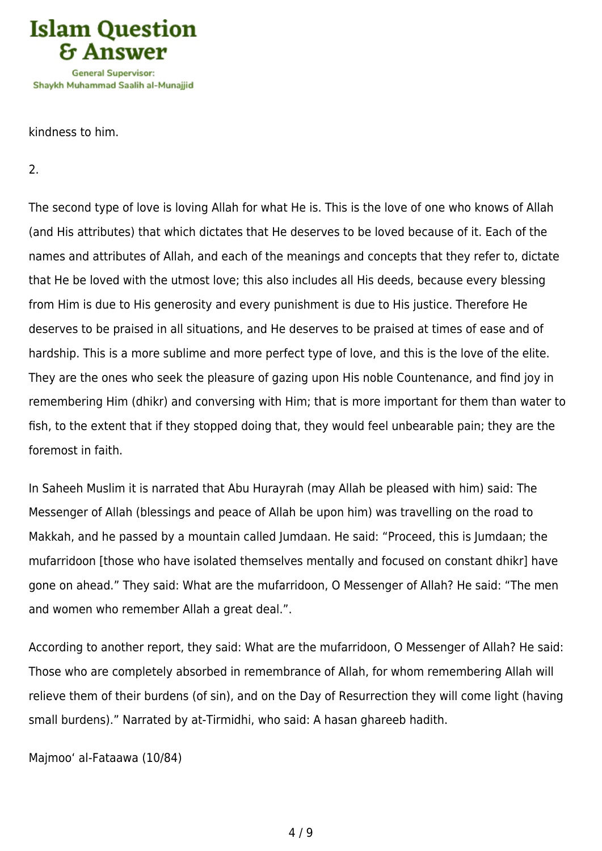

kindness to him.

2.

The second type of love is loving Allah for what He is. This is the love of one who knows of Allah (and His attributes) that which dictates that He deserves to be loved because of it. Each of the names and attributes of Allah, and each of the meanings and concepts that they refer to, dictate that He be loved with the utmost love; this also includes all His deeds, because every blessing from Him is due to His generosity and every punishment is due to His justice. Therefore He deserves to be praised in all situations, and He deserves to be praised at times of ease and of hardship. This is a more sublime and more perfect type of love, and this is the love of the elite. They are the ones who seek the pleasure of gazing upon His noble Countenance, and find joy in remembering Him (dhikr) and conversing with Him; that is more important for them than water to fish, to the extent that if they stopped doing that, they would feel unbearable pain; they are the foremost in faith.

In Saheeh Muslim it is narrated that Abu Hurayrah (may Allah be pleased with him) said: The Messenger of Allah (blessings and peace of Allah be upon him) was travelling on the road to Makkah, and he passed by a mountain called Jumdaan. He said: "Proceed, this is Jumdaan; the mufarridoon [those who have isolated themselves mentally and focused on constant dhikr] have gone on ahead." They said: What are the mufarridoon, O Messenger of Allah? He said: "The men and women who remember Allah a great deal.".

According to another report, they said: What are the mufarridoon, O Messenger of Allah? He said: Those who are completely absorbed in remembrance of Allah, for whom remembering Allah will relieve them of their burdens (of sin), and on the Day of Resurrection they will come light (having small burdens)." Narrated by at-Tirmidhi, who said: A hasan ghareeb hadith.

Majmoo' al-Fataawa (10/84)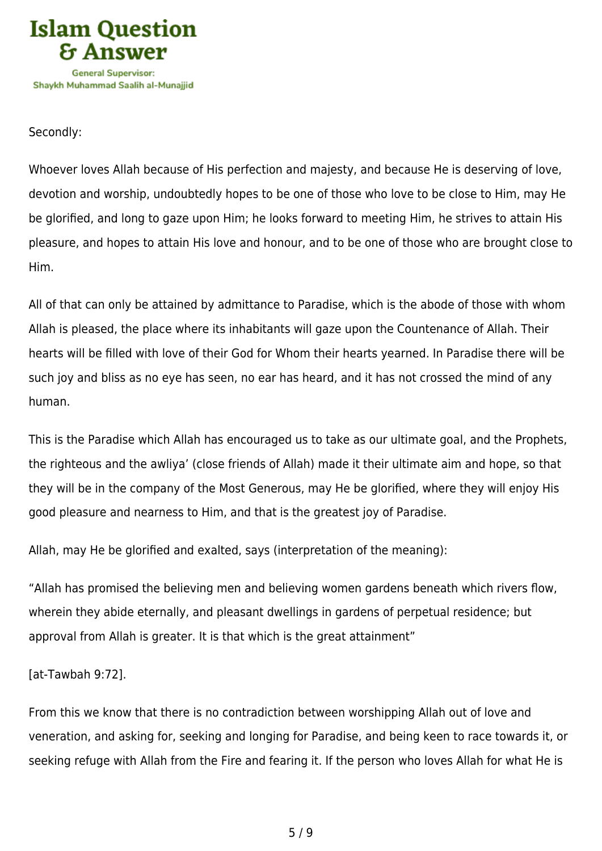

## Secondly:

Whoever loves Allah because of His perfection and majesty, and because He is deserving of love, devotion and worship, undoubtedly hopes to be one of those who love to be close to Him, may He be glorified, and long to gaze upon Him; he looks forward to meeting Him, he strives to attain His pleasure, and hopes to attain His love and honour, and to be one of those who are brought close to Him.

All of that can only be attained by admittance to Paradise, which is the abode of those with whom Allah is pleased, the place where its inhabitants will gaze upon the Countenance of Allah. Their hearts will be filled with love of their God for Whom their hearts yearned. In Paradise there will be such joy and bliss as no eye has seen, no ear has heard, and it has not crossed the mind of any human.

This is the Paradise which Allah has encouraged us to take as our ultimate goal, and the Prophets, the righteous and the awliya' (close friends of Allah) made it their ultimate aim and hope, so that they will be in the company of the Most Generous, may He be glorified, where they will enjoy His good pleasure and nearness to Him, and that is the greatest joy of Paradise.

Allah, may He be glorified and exalted, says (interpretation of the meaning):

"Allah has promised the believing men and believing women gardens beneath which rivers flow, wherein they abide eternally, and pleasant dwellings in gardens of perpetual residence; but approval from Allah is greater. It is that which is the great attainment"

[at-Tawbah 9:72].

From this we know that there is no contradiction between worshipping Allah out of love and veneration, and asking for, seeking and longing for Paradise, and being keen to race towards it, or seeking refuge with Allah from the Fire and fearing it. If the person who loves Allah for what He is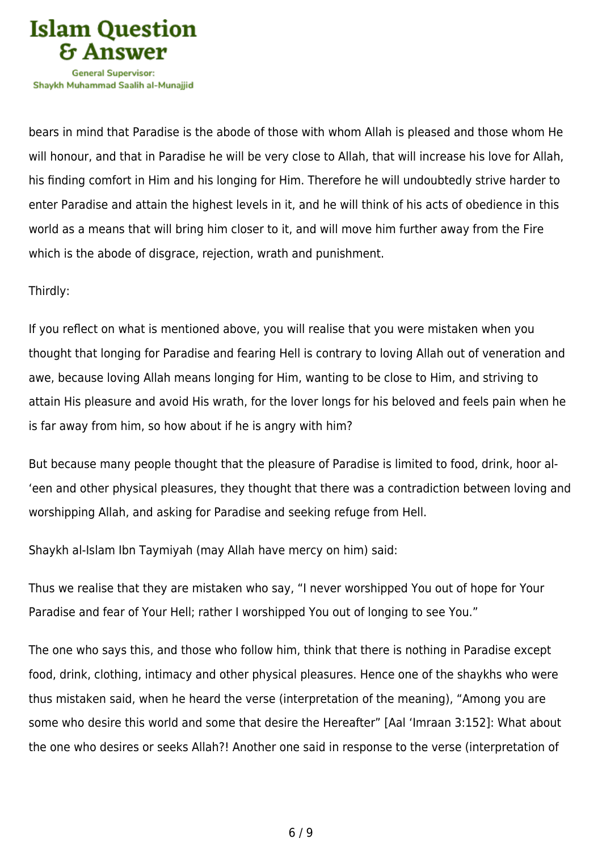

bears in mind that Paradise is the abode of those with whom Allah is pleased and those whom He will honour, and that in Paradise he will be very close to Allah, that will increase his love for Allah, his finding comfort in Him and his longing for Him. Therefore he will undoubtedly strive harder to enter Paradise and attain the highest levels in it, and he will think of his acts of obedience in this world as a means that will bring him closer to it, and will move him further away from the Fire which is the abode of disgrace, rejection, wrath and punishment.

Thirdly:

If you reflect on what is mentioned above, you will realise that you were mistaken when you thought that longing for Paradise and fearing Hell is contrary to loving Allah out of veneration and awe, because loving Allah means longing for Him, wanting to be close to Him, and striving to attain His pleasure and avoid His wrath, for the lover longs for his beloved and feels pain when he is far away from him, so how about if he is angry with him?

But because many people thought that the pleasure of Paradise is limited to food, drink, hoor al- 'een and other physical pleasures, they thought that there was a contradiction between loving and worshipping Allah, and asking for Paradise and seeking refuge from Hell.

Shaykh al-Islam Ibn Taymiyah (may Allah have mercy on him) said:

Thus we realise that they are mistaken who say, "I never worshipped You out of hope for Your Paradise and fear of Your Hell; rather I worshipped You out of longing to see You."

The one who says this, and those who follow him, think that there is nothing in Paradise except food, drink, clothing, intimacy and other physical pleasures. Hence one of the shaykhs who were thus mistaken said, when he heard the verse (interpretation of the meaning), "Among you are some who desire this world and some that desire the Hereafter" [Aal 'Imraan 3:152]: What about the one who desires or seeks Allah?! Another one said in response to the verse (interpretation of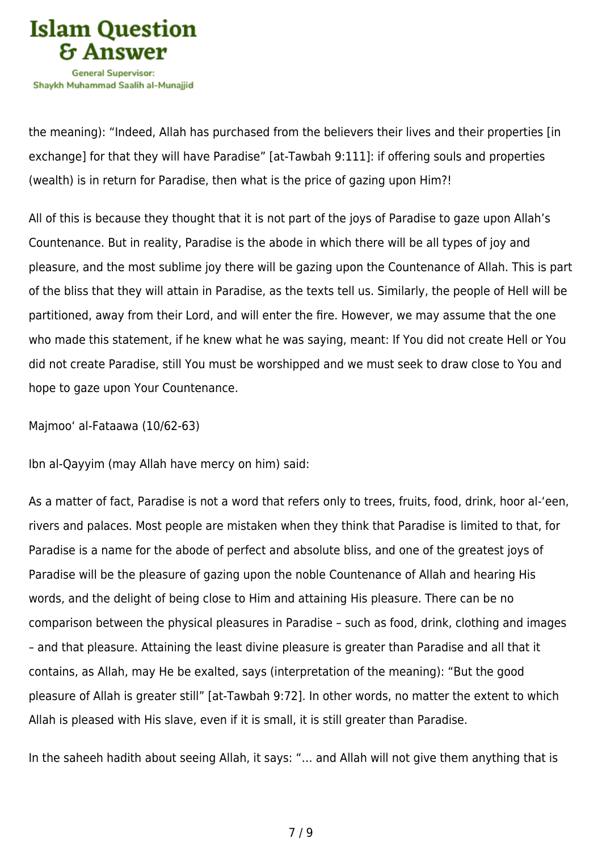

the meaning): "Indeed, Allah has purchased from the believers their lives and their properties [in exchange] for that they will have Paradise" [at-Tawbah 9:111]: if offering souls and properties (wealth) is in return for Paradise, then what is the price of gazing upon Him?!

All of this is because they thought that it is not part of the joys of Paradise to gaze upon Allah's Countenance. But in reality, Paradise is the abode in which there will be all types of joy and pleasure, and the most sublime joy there will be gazing upon the Countenance of Allah. This is part of the bliss that they will attain in Paradise, as the texts tell us. Similarly, the people of Hell will be partitioned, away from their Lord, and will enter the fire. However, we may assume that the one who made this statement, if he knew what he was saying, meant: If You did not create Hell or You did not create Paradise, still You must be worshipped and we must seek to draw close to You and hope to gaze upon Your Countenance.

Majmoo' al-Fataawa (10/62-63)

Ibn al-Qayyim (may Allah have mercy on him) said:

As a matter of fact, Paradise is not a word that refers only to trees, fruits, food, drink, hoor al-'een, rivers and palaces. Most people are mistaken when they think that Paradise is limited to that, for Paradise is a name for the abode of perfect and absolute bliss, and one of the greatest joys of Paradise will be the pleasure of gazing upon the noble Countenance of Allah and hearing His words, and the delight of being close to Him and attaining His pleasure. There can be no comparison between the physical pleasures in Paradise – such as food, drink, clothing and images – and that pleasure. Attaining the least divine pleasure is greater than Paradise and all that it contains, as Allah, may He be exalted, says (interpretation of the meaning): "But the good pleasure of Allah is greater still" [at-Tawbah 9:72]. In other words, no matter the extent to which Allah is pleased with His slave, even if it is small, it is still greater than Paradise.

In the saheeh hadith about seeing Allah, it says: "… and Allah will not give them anything that is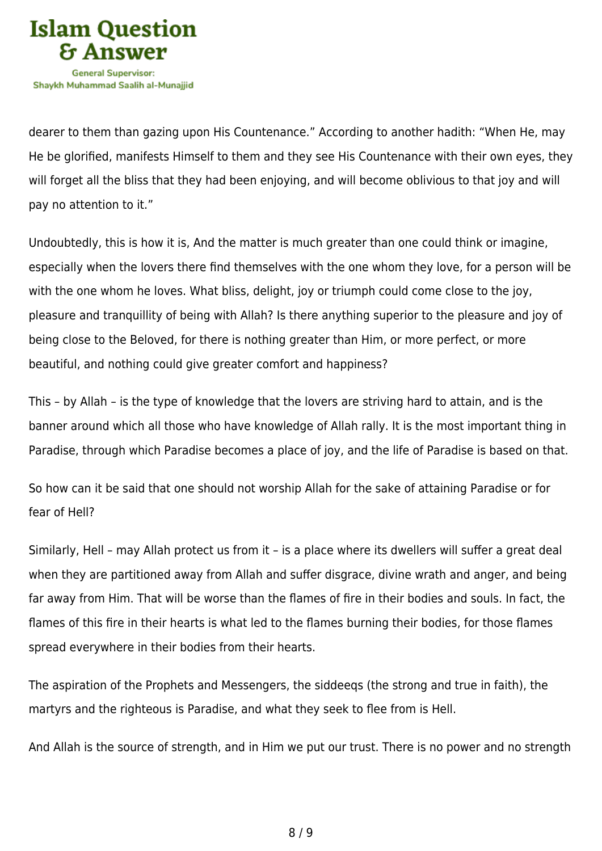

dearer to them than gazing upon His Countenance." According to another hadith: "When He, may He be glorified, manifests Himself to them and they see His Countenance with their own eyes, they will forget all the bliss that they had been enjoying, and will become oblivious to that joy and will pay no attention to it."

Undoubtedly, this is how it is, And the matter is much greater than one could think or imagine, especially when the lovers there find themselves with the one whom they love, for a person will be with the one whom he loves. What bliss, delight, joy or triumph could come close to the joy, pleasure and tranquillity of being with Allah? Is there anything superior to the pleasure and joy of being close to the Beloved, for there is nothing greater than Him, or more perfect, or more beautiful, and nothing could give greater comfort and happiness?

This – by Allah – is the type of knowledge that the lovers are striving hard to attain, and is the banner around which all those who have knowledge of Allah rally. It is the most important thing in Paradise, through which Paradise becomes a place of joy, and the life of Paradise is based on that.

So how can it be said that one should not worship Allah for the sake of attaining Paradise or for fear of Hell?

Similarly, Hell – may Allah protect us from it – is a place where its dwellers will suffer a great deal when they are partitioned away from Allah and suffer disgrace, divine wrath and anger, and being far away from Him. That will be worse than the flames of fire in their bodies and souls. In fact, the flames of this fire in their hearts is what led to the flames burning their bodies, for those flames spread everywhere in their bodies from their hearts.

The aspiration of the Prophets and Messengers, the siddeeqs (the strong and true in faith), the martyrs and the righteous is Paradise, and what they seek to flee from is Hell.

And Allah is the source of strength, and in Him we put our trust. There is no power and no strength